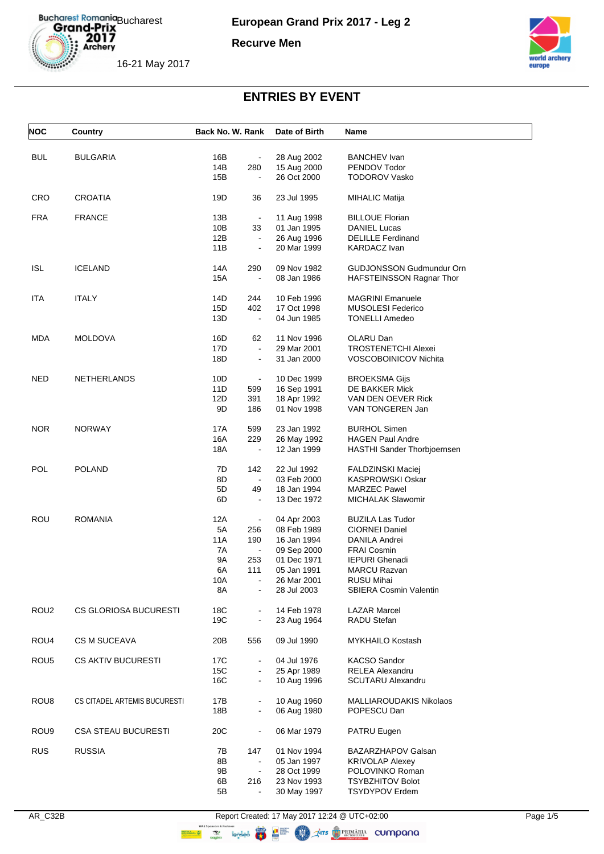

**European Grand Prix 2017 - Leg 2**

**Recurve Men**



16-21 May 2017

| <b>NOC</b>       | Country                      | Back No. W. Rank                    | Date of Birth              | Name                                               |
|------------------|------------------------------|-------------------------------------|----------------------------|----------------------------------------------------|
| <b>BUL</b>       |                              | 16B                                 |                            | <b>BANCHEV Ivan</b>                                |
|                  | <b>BULGARIA</b>              | $\blacksquare$<br>14B<br>280        | 28 Aug 2002<br>15 Aug 2000 | PENDOV Todor                                       |
|                  |                              | 15B<br>$\blacksquare$               | 26 Oct 2000                | <b>TODOROV Vasko</b>                               |
|                  |                              |                                     |                            |                                                    |
| <b>CRO</b>       | <b>CROATIA</b>               | 19D<br>36                           | 23 Jul 1995                | <b>MIHALIC Matija</b>                              |
| <b>FRA</b>       | <b>FRANCE</b>                | 13B<br>$\blacksquare$               | 11 Aug 1998                | <b>BILLOUE Florian</b>                             |
|                  |                              | 10B<br>33                           | 01 Jan 1995                | <b>DANIEL Lucas</b>                                |
|                  |                              | 12B<br>$\blacksquare$               | 26 Aug 1996                | <b>DELILLE Ferdinand</b>                           |
|                  |                              | 11B<br>$\blacksquare$               | 20 Mar 1999                | <b>KARDACZ Ivan</b>                                |
| <b>ISL</b>       | <b>ICELAND</b>               | 14A<br>290                          | 09 Nov 1982                | <b>GUDJONSSON Gudmundur Orn</b>                    |
|                  |                              | 15A<br>$\blacksquare$               | 08 Jan 1986                | HAFSTEINSSON Ragnar Thor                           |
| <b>ITA</b>       | <b>ITALY</b>                 | 14D<br>244                          | 10 Feb 1996                | <b>MAGRINI Emanuele</b>                            |
|                  |                              | 15D<br>402                          | 17 Oct 1998                | <b>MUSOLESI Federico</b>                           |
|                  |                              | 13D<br>$\blacksquare$               | 04 Jun 1985                | <b>TONELLI Amedeo</b>                              |
| MDA              | <b>MOLDOVA</b>               | 16D<br>62                           | 11 Nov 1996                | OLARU Dan                                          |
|                  |                              | 17D<br>$\blacksquare$               | 29 Mar 2001                | <b>TROSTENETCHI Alexei</b>                         |
|                  |                              | 18D<br>$\blacksquare$               | 31 Jan 2000                | <b>VOSCOBOINICOV Nichita</b>                       |
| <b>NED</b>       | NETHERLANDS                  | 10D<br>$\blacksquare$               | 10 Dec 1999                | <b>BROEKSMA Gijs</b>                               |
|                  |                              | 11D<br>599                          | 16 Sep 1991                | DE BAKKER Mick                                     |
|                  |                              | 12D<br>391                          | 18 Apr 1992                | VAN DEN OEVER Rick                                 |
|                  |                              | 9D<br>186                           | 01 Nov 1998                | VAN TONGEREN Jan                                   |
| <b>NOR</b>       | <b>NORWAY</b>                | 17A<br>599                          | 23 Jan 1992                | <b>BURHOL Simen</b>                                |
|                  |                              | 16A<br>229                          | 26 May 1992                | <b>HAGEN Paul Andre</b>                            |
|                  |                              | 18A                                 | 12 Jan 1999                | HASTHI Sander Thorbjoernsen                        |
| <b>POL</b>       | <b>POLAND</b>                | 7D<br>142                           | 22 Jul 1992                | FALDZINSKI Maciej                                  |
|                  |                              | 8D<br>$\blacksquare$                | 03 Feb 2000                | KASPROWSKI Oskar                                   |
|                  |                              | 5D<br>49                            | 18 Jan 1994                | <b>MARZEC Pawel</b>                                |
|                  |                              | 6D<br>$\blacksquare$                | 13 Dec 1972                | <b>MICHALAK Slawomir</b>                           |
| ROU              | <b>ROMANIA</b>               | 12A<br>$\blacksquare$               | 04 Apr 2003                | <b>BUZILA Las Tudor</b>                            |
|                  |                              | 5A<br>256                           | 08 Feb 1989                | <b>CIORNEI Daniel</b>                              |
|                  |                              | 11A<br>190                          | 16 Jan 1994                | DANILA Andrei                                      |
|                  |                              | 7A                                  | 09 Sep 2000                | <b>FRAI Cosmin</b>                                 |
|                  |                              | 9A<br>253<br>6A<br>111              | 01 Dec 1971<br>05 Jan 1991 | <b>IEPURI Ghenadi</b>                              |
|                  |                              | 10A                                 | 26 Mar 2001                | MARCU Razvan<br>RUSU Mihai                         |
|                  |                              | 8A                                  | 28 Jul 2003                | <b>SBIERA Cosmin Valentin</b>                      |
| ROU <sub>2</sub> | CS GLORIOSA BUCURESTI        | 18C                                 | 14 Feb 1978                | <b>LAZAR Marcel</b>                                |
|                  |                              | 19C<br>$\qquad \qquad \blacksquare$ | 23 Aug 1964                | RADU Stefan                                        |
| ROU4             | <b>CS M SUCEAVA</b>          | 20B<br>556                          | 09 Jul 1990                | MYKHAILO Kostash                                   |
|                  |                              |                                     |                            |                                                    |
| ROU <sub>5</sub> | <b>CS AKTIV BUCURESTI</b>    | 17C<br>$\blacksquare$               | 04 Jul 1976                | <b>KACSO Sandor</b>                                |
|                  |                              | 15C<br>16C                          | 25 Apr 1989<br>10 Aug 1996 | <b>RELEA Alexandru</b><br><b>SCUTARU Alexandru</b> |
|                  |                              | $\qquad \qquad \blacksquare$        |                            |                                                    |
| ROU <sub>8</sub> | CS CITADEL ARTEMIS BUCURESTI | 17B<br>$\blacksquare$               | 10 Aug 1960                | MALLIAROUDAKIS Nikolaos                            |
|                  |                              | 18B<br>$\qquad \qquad \blacksquare$ | 06 Aug 1980                | POPESCU Dan                                        |
| ROU <sub>9</sub> | <b>CSA STEAU BUCURESTI</b>   | 20C<br>$\qquad \qquad \blacksquare$ | 06 Mar 1979                | PATRU Eugen                                        |
| <b>RUS</b>       | <b>RUSSIA</b>                | 7В<br>147                           | 01 Nov 1994                | BAZARZHAPOV Galsan                                 |
|                  |                              | 8Β<br>$\blacksquare$                | 05 Jan 1997                | <b>KRIVOLAP Alexey</b>                             |
|                  |                              | 9Β<br>$\blacksquare$                | 28 Oct 1999                | POLOVINKO Roman                                    |
|                  |                              | 6B<br>216                           | 23 Nov 1993                | <b>TSYBZHITOV Bolot</b>                            |
|                  |                              | 5Β<br>$\blacksquare$                | 30 May 1997                | <b>TSYDYPOV Erdem</b>                              |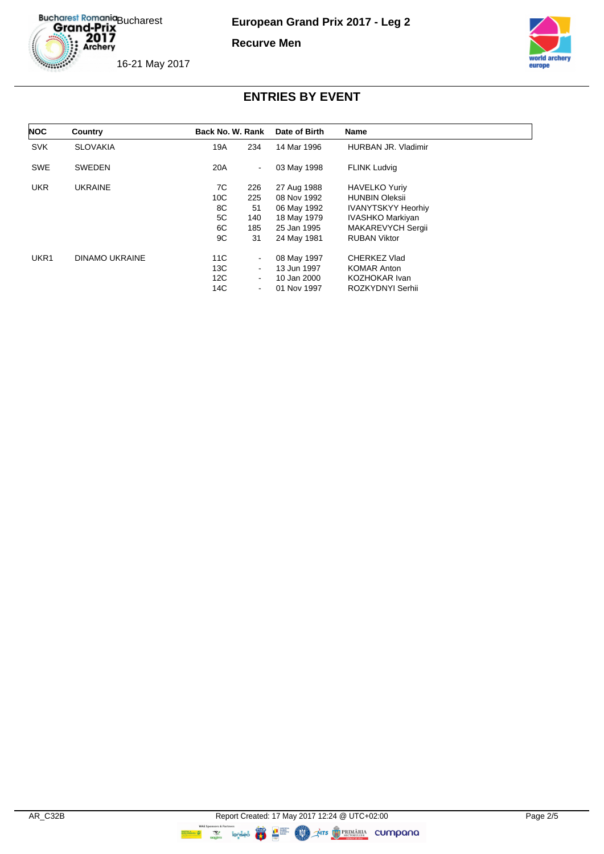Bucharest Romania<br>Grand-Prix<br>2017<br>Archery

**European Grand Prix 2017 - Leg 2**

**Recurve Men**



16-21 May 2017

| <b>NOC</b> | Country         | Back No. W. Rank |                          | Date of Birth | <b>Name</b>               |
|------------|-----------------|------------------|--------------------------|---------------|---------------------------|
| <b>SVK</b> | <b>SLOVAKIA</b> | 19A              | 234                      | 14 Mar 1996   | HURBAN JR. Vladimir       |
| <b>SWE</b> | <b>SWEDEN</b>   | 20A              | $\blacksquare$           | 03 May 1998   | <b>FLINK Ludvig</b>       |
| <b>UKR</b> | <b>UKRAINE</b>  | 7C               | 226                      | 27 Aug 1988   | <b>HAVELKO Yuriy</b>      |
|            |                 | 10C              | 225                      | 08 Nov 1992   | <b>HUNBIN Oleksii</b>     |
|            |                 | 8C               | 51                       | 06 May 1992   | <b>IVANYTSKYY Heorhiv</b> |
|            |                 | 5C               | 140                      | 18 May 1979   | <b>IVASHKO Markiyan</b>   |
|            |                 | 6C               | 185                      | 25 Jan 1995   | MAKAREVYCH Sergii         |
|            |                 | 9C               | 31                       | 24 May 1981   | <b>RUBAN Viktor</b>       |
| UKR1       | DINAMO UKRAINE  | 11C              | $\blacksquare$           | 08 May 1997   | CHERKEZ Vlad              |
|            |                 | 13C              | $\overline{\phantom{a}}$ | 13 Jun 1997   | <b>KOMAR Anton</b>        |
|            |                 | 12C              | $\blacksquare$           | 10 Jan 2000   | KOZHOKAR Ivan             |
|            |                 | 14C              | $\blacksquare$           | 01 Nov 1997   | ROZKYDNYI Serhii          |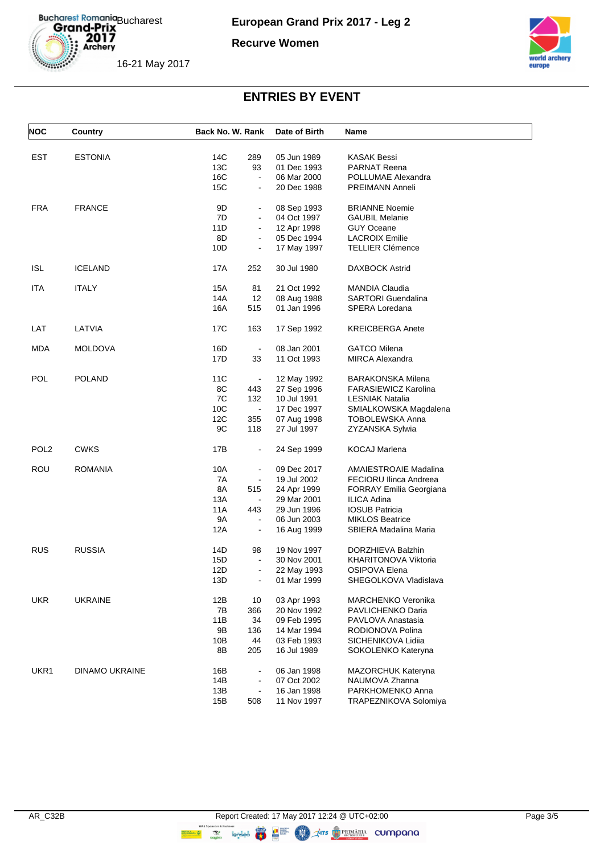Bucharest Romania<br>
Grand-Prix<br>
2017<br>
Archery

**European Grand Prix 2017 - Leg 2**

#### **Recurve Women**





| <b>NOC</b>       | Country               | Back No. W. Rank |                | Date of Birth | Name                           |
|------------------|-----------------------|------------------|----------------|---------------|--------------------------------|
|                  |                       |                  |                |               |                                |
| <b>EST</b>       | <b>ESTONIA</b>        | 14C              | 289            | 05 Jun 1989   | <b>KASAK Bessi</b>             |
|                  |                       | 13C              | 93             | 01 Dec 1993   | <b>PARNAT Reena</b>            |
|                  |                       | 16C              | $\blacksquare$ | 06 Mar 2000   | POLLUMAE Alexandra             |
|                  |                       | 15C              | $\blacksquare$ | 20 Dec 1988   | PREIMANN Anneli                |
| <b>FRA</b>       | <b>FRANCE</b>         | 9D               | $\blacksquare$ | 08 Sep 1993   | <b>BRIANNE Noemie</b>          |
|                  |                       | 7D               | $\blacksquare$ | 04 Oct 1997   | <b>GAUBIL Melanie</b>          |
|                  |                       | 11D              | $\blacksquare$ | 12 Apr 1998   | <b>GUY Oceane</b>              |
|                  |                       | 8D               | $\blacksquare$ | 05 Dec 1994   | <b>LACROIX Emilie</b>          |
|                  |                       | 10D              | $\blacksquare$ | 17 May 1997   | <b>TELLIER Clémence</b>        |
|                  |                       |                  |                |               |                                |
| <b>ISL</b>       | <b>ICELAND</b>        | 17A              | 252            | 30 Jul 1980   | <b>DAXBOCK Astrid</b>          |
| ITA              | <b>ITALY</b>          | 15A              | 81             | 21 Oct 1992   | <b>MANDIA Claudia</b>          |
|                  |                       | 14A              | 12             | 08 Aug 1988   | <b>SARTORI</b> Guendalina      |
|                  |                       | 16A              | 515            | 01 Jan 1996   | SPERA Loredana                 |
|                  |                       |                  |                |               |                                |
| LAT              | LATVIA                | 17C              | 163            | 17 Sep 1992   | <b>KREICBERGA Anete</b>        |
| <b>MDA</b>       | <b>MOLDOVA</b>        | 16D              | $\blacksquare$ | 08 Jan 2001   | <b>GATCO Milena</b>            |
|                  |                       | 17D              | 33             | 11 Oct 1993   | <b>MIRCA Alexandra</b>         |
|                  |                       |                  |                |               |                                |
| POL              | <b>POLAND</b>         | 11C              | $\blacksquare$ | 12 May 1992   | <b>BARAKONSKA Milena</b>       |
|                  |                       | 8C               | 443            | 27 Sep 1996   | <b>FARASIEWICZ Karolina</b>    |
|                  |                       | 7C               | 132            | 10 Jul 1991   | <b>LESNIAK Natalia</b>         |
|                  |                       | 10C              | $\blacksquare$ | 17 Dec 1997   | SMIALKOWSKA Magdalena          |
|                  |                       | 12C              | 355            | 07 Aug 1998   | <b>TOBOLEWSKA Anna</b>         |
|                  |                       | 9C               | 118            | 27 Jul 1997   | ZYZANSKA Sylwia                |
|                  |                       |                  |                |               |                                |
| POL <sub>2</sub> | <b>CWKS</b>           | 17B              | $\blacksquare$ | 24 Sep 1999   | <b>KOCAJ Marlena</b>           |
| ROU              | <b>ROMANIA</b>        | 10A              | $\blacksquare$ | 09 Dec 2017   | <b>AMAIESTROAIE Madalina</b>   |
|                  |                       | 7A               | $\blacksquare$ | 19 Jul 2002   | <b>FECIORU Ilinca Andreea</b>  |
|                  |                       | 8A               | 515            | 24 Apr 1999   | <b>FORRAY Emilia Georgiana</b> |
|                  |                       | 13A              | $\blacksquare$ | 29 Mar 2001   | <b>ILICA Adina</b>             |
|                  |                       | 11A              | 443            | 29 Jun 1996   | <b>IOSUB Patricia</b>          |
|                  |                       | 9Α               | $\blacksquare$ | 06 Jun 2003   | <b>MIKLOS Beatrice</b>         |
|                  |                       | 12A              | $\blacksquare$ | 16 Aug 1999   | SBIERA Madalina Maria          |
|                  |                       |                  |                |               |                                |
| <b>RUS</b>       | <b>RUSSIA</b>         | 14D              | 98             | 19 Nov 1997   | DORZHIEVA Balzhin              |
|                  |                       | 15D              | $\blacksquare$ | 30 Nov 2001   | KHARITONOVA Viktoria           |
|                  |                       | 12D              | $\blacksquare$ | 22 May 1993   | <b>OSIPOVA Elena</b>           |
|                  |                       | 13D              |                | 01 Mar 1999   | SHEGOLKOVA Vladislava          |
| <b>UKR</b>       | <b>UKRAINE</b>        | 12B              | 10             | 03 Apr 1993   | MARCHENKO Veronika             |
|                  |                       | 7B               | 366            | 20 Nov 1992   | PAVLICHENKO Daria              |
|                  |                       | 11B              | 34             | 09 Feb 1995   | PAVLOVA Anastasia              |
|                  |                       | 9Β               | 136            | 14 Mar 1994   | RODIONOVA Polina               |
|                  |                       | 10B              | 44             | 03 Feb 1993   | SICHENIKOVA Lidiia             |
|                  |                       |                  |                | 16 Jul 1989   |                                |
|                  |                       | 8B               | 205            |               | SOKOLENKO Kateryna             |
| UKR1             | <b>DINAMO UKRAINE</b> | 16B              | $\blacksquare$ | 06 Jan 1998   | MAZORCHUK Kateryna             |
|                  |                       | 14B              | $\blacksquare$ | 07 Oct 2002   | NAUMOVA Zhanna                 |
|                  |                       | 13B              |                | 16 Jan 1998   | PARKHOMENKO Anna               |
|                  |                       | 15B              | 508            | 11 Nov 1997   | TRAPEZNIKOVA Solomiya          |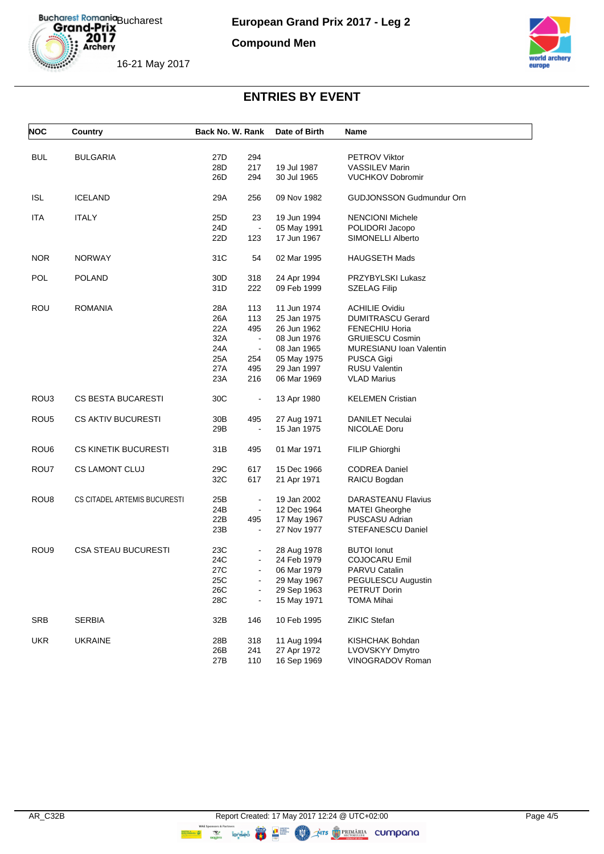

**European Grand Prix 2017 - Leg 2**

**Compound Men**



16-21 May 2017

| <b>NOC</b>       | Country                      | Back No. W. Rank |                | Date of Birth | Name                            |
|------------------|------------------------------|------------------|----------------|---------------|---------------------------------|
| <b>BUL</b>       | <b>BULGARIA</b>              | 27D              | 294            |               | PETROV Viktor                   |
|                  |                              | 28D              | 217            | 19 Jul 1987   | <b>VASSILEV Marin</b>           |
|                  |                              | 26D              | 294            | 30 Jul 1965   | <b>VUCHKOV Dobromir</b>         |
|                  |                              |                  |                |               |                                 |
| <b>ISL</b>       | <b>ICELAND</b>               | 29A              | 256            | 09 Nov 1982   | <b>GUDJONSSON Gudmundur Orn</b> |
| ITA              | <b>ITALY</b>                 | 25D              | 23             | 19 Jun 1994   | <b>NENCIONI Michele</b>         |
|                  |                              | 24D              | $\blacksquare$ | 05 May 1991   | POLIDORI Jacopo                 |
|                  |                              | 22D              | 123            | 17 Jun 1967   | <b>SIMONELLI Alberto</b>        |
| <b>NOR</b>       | <b>NORWAY</b>                | 31C              | 54             | 02 Mar 1995   | <b>HAUGSETH Mads</b>            |
| <b>POL</b>       | <b>POLAND</b>                | 30D              | 318            | 24 Apr 1994   | PRZYBYLSKI Lukasz               |
|                  |                              | 31D              | 222            | 09 Feb 1999   | <b>SZELAG Filip</b>             |
|                  |                              |                  |                |               |                                 |
| ROU              | <b>ROMANIA</b>               | 28A              | 113            | 11 Jun 1974   | <b>ACHILIE Ovidiu</b>           |
|                  |                              | 26A              | 113            | 25 Jan 1975   | <b>DUMITRASCU Gerard</b>        |
|                  |                              | 22A              | 495            | 26 Jun 1962   | <b>FENECHIU Horia</b>           |
|                  |                              | 32A              | $\sim$         | 08 Jun 1976   | <b>GRUIESCU Cosmin</b>          |
|                  |                              | 24A              | $\blacksquare$ | 08 Jan 1965   | MURESIANU Ioan Valentin         |
|                  |                              | 25A              | 254            | 05 May 1975   | PUSCA Gigi                      |
|                  |                              | 27A              | 495            | 29 Jan 1997   | <b>RUSU Valentin</b>            |
|                  |                              | 23A              | 216            | 06 Mar 1969   | <b>VLAD Marius</b>              |
| ROU3             | <b>CS BESTA BUCARESTI</b>    | 30C              | $\blacksquare$ | 13 Apr 1980   | <b>KELEMEN Cristian</b>         |
| ROU <sub>5</sub> | <b>CS AKTIV BUCURESTI</b>    | 30B              | 495            | 27 Aug 1971   | <b>DANILET Neculai</b>          |
|                  |                              | 29B              |                | 15 Jan 1975   | NICOLAE Doru                    |
| ROU6             | <b>CS KINETIK BUCURESTI</b>  | 31B              | 495            | 01 Mar 1971   | FILIP Ghiorghi                  |
| ROU7             | <b>CS LAMONT CLUJ</b>        | 29C              | 617            | 15 Dec 1966   | <b>CODREA Daniel</b>            |
|                  |                              | 32C              | 617            | 21 Apr 1971   | RAICU Bogdan                    |
|                  |                              |                  |                |               |                                 |
| ROU8             | CS CITADEL ARTEMIS BUCURESTI | 25B              | $\blacksquare$ | 19 Jan 2002   | <b>DARASTEANU Flavius</b>       |
|                  |                              | 24B              |                | 12 Dec 1964   | <b>MATEI Gheorghe</b>           |
|                  |                              | 22B              | 495            | 17 May 1967   | PUSCASU Adrian                  |
|                  |                              | 23B              | $\blacksquare$ | 27 Nov 1977   | STEFANESCU Daniel               |
| ROU <sub>9</sub> | <b>CSA STEAU BUCURESTI</b>   | 23C              |                | 28 Aug 1978   | <b>BUTOI</b> Ionut              |
|                  |                              | 24C              |                | 24 Feb 1979   | COJOCARU Emil                   |
|                  |                              | 27C              | $\blacksquare$ | 06 Mar 1979   | <b>PARVU Catalin</b>            |
|                  |                              | 25C              |                | 29 May 1967   | PEGULESCU Augustin              |
|                  |                              | 26C              |                | 29 Sep 1963   | PETRUT Dorin                    |
|                  |                              | 28C              |                | 15 May 1971   | <b>TOMA Mihai</b>               |
| <b>SRB</b>       | <b>SERBIA</b>                | 32B              | 146            | 10 Feb 1995   | ZIKIC Stefan                    |
| <b>UKR</b>       | <b>UKRAINE</b>               | 28B              | 318            | 11 Aug 1994   | KISHCHAK Bohdan                 |
|                  |                              | 26B              | 241            | 27 Apr 1972   | LVOVSKYY Dmytro                 |
|                  |                              | 27B              | 110            | 16 Sep 1969   | VINOGRADOV Roman                |
|                  |                              |                  |                |               |                                 |